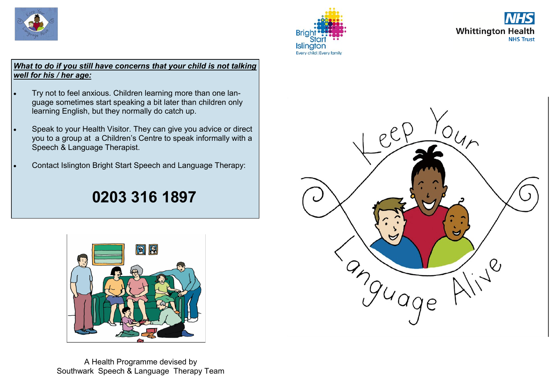





#### *What to do if you still have concerns that your child is not talking well for his / her age:*

- Try not to feel anxious. Children learning more than one language sometimes start speaking a bit later than children only learning English, but they normally do catch up.
- Speak to your Health Visitor. They can give you advice or direct you to a group at a Children's Centre to speak informally with a Speech & Language Therapist.
- Contact Islington Bright Start Speech and Language Therapy:

# **0203 316 1897**